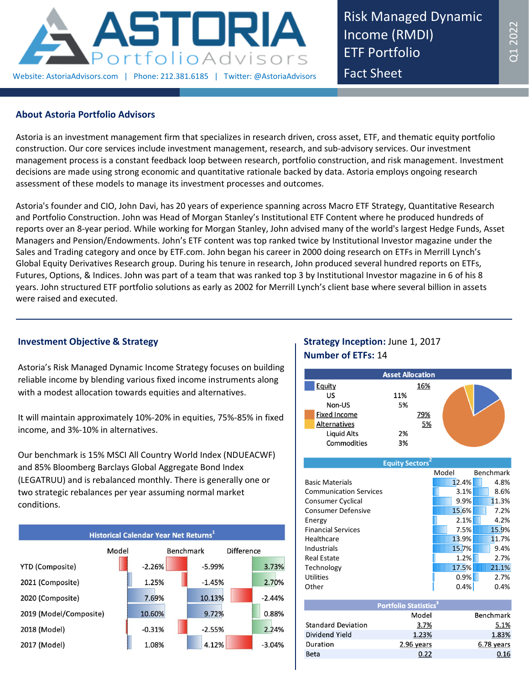

Risk Managed Dynamic Income (RMDI) ETF Portfolio Fact Sheet

## **About Astoria Portfolio Advisors**

Astoria is an investment management firm that specializes in research driven, cross asset, ETF, and thematic equity portfolio construction. Our core services include investment management, research, and sub-advisory services. Our investment management process is a constant feedback loop between research, portfolio construction, and risk management. Investment decisions are made using strong economic and quantitative rationale backed by data. Astoria employs ongoing research assessment of these models to manage its investment processes and outcomes.

Astoria's founder and CIO, John Davi, has 20 years of experience spanning across Macro ETF Strategy, Quantitative Research and Portfolio Construction. John was Head of Morgan Stanley's Institutional ETF Content where he produced hundreds of reports over an 8-year period. While working for Morgan Stanley, John advised many of the world's largest Hedge Funds, Asset Managers and Pension/Endowments. John's ETF content was top ranked twice by Institutional Investor magazine under the Sales and Trading category and once by ETF.com. John began his career in 2000 doing research on ETFs in Merrill Lynch's Global Equity Derivatives Research group. During his tenure in research, John produced several hundred reports on ETFs, Futures, Options, & Indices. John was part of a team that was ranked top 3 by Institutional Investor magazine in 6 of his 8 years. John structured ETF portfolio solutions as early as 2002 for Merrill Lynch's client base where several billion in assets were raised and executed.

# **Investment Objective & Strategy**

Astoria's Risk Managed Dynamic Income Strategy focuses on building reliable income by blending various fixed income instruments along with a modest allocation towards equities and alternatives.

It will maintain approximately 10%-20% in equities, 75%-85% in fixed income, and 3%-10% in alternatives.

Our benchmark is 15% MSCI All Country World Index (NDUEACWF) and 85% Bloomberg Barclays Global Aggregate Bond Index (LEGATRUU) and is rebalanced monthly. There is generally one or two strategic rebalances per year assuming normal market conditions.



# **Strategy Inception:** June 1, 2017 **Number of ETFs:** 14

|                     | <b>Asset Allocation</b> |     |  |
|---------------------|-------------------------|-----|--|
| <b>Equity</b>       |                         | 16% |  |
| US                  | 11%                     |     |  |
| Non-US              | 5%                      |     |  |
| <b>Fixed Income</b> |                         | 79% |  |
| <b>Alternatives</b> |                         | 5%  |  |
| <b>Liquid Alts</b>  | 2%                      |     |  |
| Commodities         | 3%                      |     |  |

| <b>Equity Sectors'</b>        |       |           |  |  |  |  |
|-------------------------------|-------|-----------|--|--|--|--|
|                               | Model | Benchmark |  |  |  |  |
| <b>Basic Materials</b>        | 12.4% | 4.8%      |  |  |  |  |
| <b>Communication Services</b> | 3.1%  | 8.6%      |  |  |  |  |
| Consumer Cyclical             | 9.9%  | 11.3%     |  |  |  |  |
| <b>Consumer Defensive</b>     | 15.6% | 7.2%      |  |  |  |  |
| Energy                        | 2.1%  | 4.2%      |  |  |  |  |
| <b>Financial Services</b>     | 7.5%  | 15.9%     |  |  |  |  |
| Healthcare                    | 13.9% | 11.7%     |  |  |  |  |
| Industrials                   | 15.7% | 9.4%      |  |  |  |  |
| <b>Real Estate</b>            | 1.2%  | 2.7%      |  |  |  |  |
| Technology                    | 17.5% | 21.1%     |  |  |  |  |
| <b>Utilities</b>              | 0.9%  | 2.7%      |  |  |  |  |
| Other                         | 0.4%  | 0.4%      |  |  |  |  |

| <b>Portfolio Statistics<sup>3</sup></b> |            |                  |  |  |
|-----------------------------------------|------------|------------------|--|--|
|                                         | Model      | <b>Benchmark</b> |  |  |
| <b>Standard Deviation</b>               | 3.7%       | 5.1%             |  |  |
| Dividend Yield                          | 1.23%      | 1.83%            |  |  |
| Duration                                | 2.96 years | 6.78 years       |  |  |
| Beta                                    | 0.22       | 0.16             |  |  |
|                                         |            |                  |  |  |